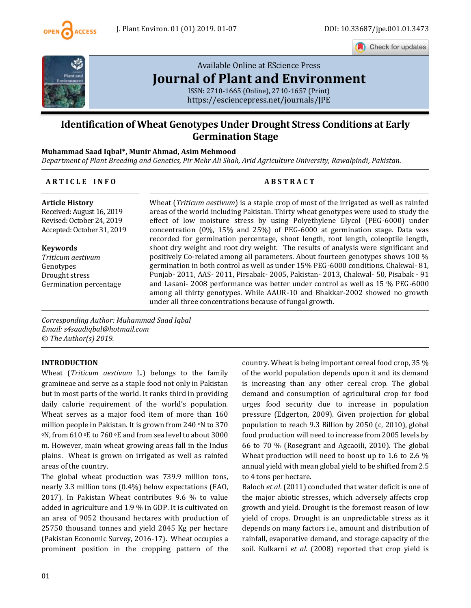

Check for updates



# [Available Online at EScience Press](https://esciencepress.net/journals/JPE) **[Journal of Plant and Environment](https://esciencepress.net/journals/JPE)**

ISSN: 2710-1665 (Online), 2710-1657 (Print) <https://esciencepress.net/journals/JPE>

# **Identification of Wheat Genotypes Under Drought Stress Conditions at Early Germination Stage**

# **Muhammad Saad Iqbal\*, Munir Ahmad, Asim Mehmood**

*Department of Plant Breeding and Genetics, Pir Mehr Ali Shah, Arid Agriculture University, Rawalpindi, Pakistan.*

# **A R T I C L E I N F O A B S T R A C T**

# **Article History**

Received: August 16, 2019 Revised: October 24, 2019 Accepted: October 31, 2019

**Keywords** *Triticum aestivum* Genotypes Drought stress Germination percentage

Wheat (*Triticum aestivum*) is a staple crop of most of the irrigated as well as rainfed areas of the world including Pakistan. Thirty wheat genotypes were used to study the effect of low moisture stress by using Polyethylene Glycol (PEG-6000) under concentration (0%, 15% and 25%) of PEG-6000 at germination stage. Data was recorded for germination percentage, shoot length, root length, coleoptile length, shoot dry weight and root dry weight. The results of analysis were significant and positively Co-related among all parameters. About fourteen genotypes shows 100 % germination in both control as well as under 15% PEG-6000 conditions. Chakwal- 81, Punjab- 2011, AAS- 2011, Pirsabak- 2005, Pakistan- 2013, Chakwal- 50, Pisabak - 91 and Lasani- 2008 performance was better under control as well as 15 % PEG-6000 among all thirty genotypes. While AAUR-10 and Bhakkar-2002 showed no growth under all three concentrations because of fungal growth.

*Corresponding Author: Muhammad Saad Iqbal Email: s4saadiqbal@hotmail.com © The Author(s) 2019.*

### **INTRODUCTION**

Wheat (*Triticum aestivum* L.) belongs to the family gramineae and serve as a staple food not only in Pakistan but in most parts of the world. It ranks third in providing daily calorie requirement of the world's population. Wheat serves as a major food item of more than 160 million people in Pakistan. It is grown from 240 oN to 370 <sup>o</sup>N, from 610 oE to 760 oE and from sea level to about 3000 m. However, main wheat growing areas fall in the Indus plains. Wheat is grown on irrigated as well as rainfed areas of the country.

The global wheat production was 739.9 million tons, nearly 3.3 million tons (0.4%) below expectations (FAO, 2017). In Pakistan Wheat contributes 9.6 % to value added in agriculture and 1.9 % in GDP. It is cultivated on an area of 9052 thousand hectares with production of 25750 thousand tonnes and yield 2845 Kg per hectare (Pakistan Economic Survey, 2016-17). Wheat occupies a prominent position in the cropping pattern of the

country. Wheat is being important cereal food crop, 35 % of the world population depends upon it and its demand is increasing than any other cereal crop. The global demand and consumption of agricultural crop for food urges food security due to increase in population pressure (Edgerton, 2009). Given projection for global population to reach 9.3 Billion by 2050 (c, 2010), global food production will need to increase from 2005 levels by 66 to 70 % (Rosegrant and Agcaoili, 2010). The global Wheat production will need to boost up to 1.6 to 2.6 % annual yield with mean global yield to be shifted from 2.5 to 4 tons per hectare.

Baloch *et al*. (2011) concluded that water deficit is one of the major abiotic stresses, which adversely affects crop growth and yield. Drought is the foremost reason of low yield of crops. Drought is an unpredictable stress as it depends on many factors i.e., amount and distribution of rainfall, evaporative demand, and storage capacity of the soil. Kulkarni *et al*. (2008) reported that crop yield is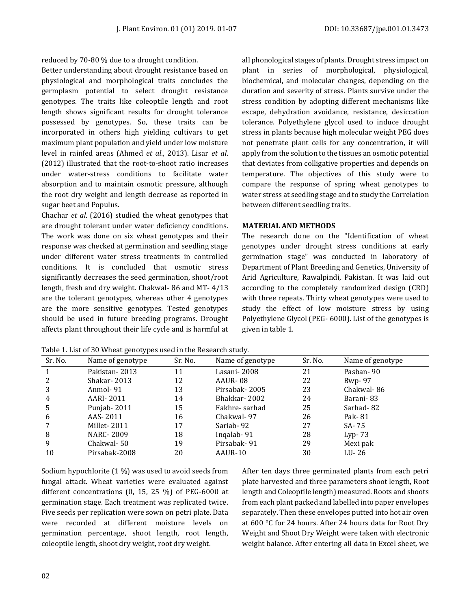reduced by 70-80 % due to a drought condition.

Better understanding about drought resistance based on physiological and morphological traits concludes the germplasm potential to select drought resistance genotypes. The traits like coleoptile length and root length shows significant results for drought tolerance possessed by genotypes. So, these traits can be incorporated in others high yielding cultivars to get maximum plant population and yield under low moisture level in rainfed areas (Ahmed *et al*., 2013). Lisar *et al*. (2012) illustrated that the root-to-shoot ratio increases under water-stress conditions to facilitate water absorption and to maintain osmotic pressure, although the root dry weight and length decrease as reported in sugar beet and Populus.

Chachar *et al*. (2016) studied the wheat genotypes that are drought tolerant under water deficiency conditions. The work was done on six wheat genotypes and their response was checked at germination and seedling stage under different water stress treatments in controlled conditions. It is concluded that osmotic stress significantly decreases the seed germination, shoot/root length, fresh and dry weight. Chakwal- 86 and MT- 4/13 are the tolerant genotypes, whereas other 4 genotypes are the more sensitive genotypes. Tested genotypes should be used in future breeding programs. Drought affects plant throughout their life cycle and is harmful at

all phonological stages of plants. Drought stress impact on plant in series of morphological, physiological, biochemical, and molecular changes, depending on the duration and severity of stress. Plants survive under the stress condition by adopting different mechanisms like escape, dehydration avoidance, resistance, desiccation tolerance. Polyethylene glycol used to induce drought stress in plants because high molecular weight PEG does not penetrate plant cells for any concentration, it will apply from the solution to the tissues an osmotic potential that deviates from colligative properties and depends on temperature. The objectives of this study were to compare the response of spring wheat genotypes to water stress at seedling stage and to study the Correlation between different seedling traits.

# **MATERIAL AND METHODS**

The research done on the "Identification of wheat genotypes under drought stress conditions at early germination stage" was conducted in laboratory of Department of Plant Breeding and Genetics, University of Arid Agriculture, Rawalpindi, Pakistan. It was laid out according to the completely randomized design (CRD) with three repeats. Thirty wheat genotypes were used to study the effect of low moisture stress by using Polyethylene Glycol (PEG- 6000). List of the genotypes is given in table 1.

| Sr. No. | Name of genotype | Sr. No. | Name of genotype | Sr. No. | Name of genotype |
|---------|------------------|---------|------------------|---------|------------------|
|         | Pakistan - 2013  | 11      | Lasani- 2008     | 21      | Pasban-90        |
|         | Shakar-2013      | 12      | AAUR-08          | 22      | $Bwp-97$         |
|         | Anmol-91         | 13      | Pirsabak-2005    | 23      | Chakwal-86       |
| 4       | AARI- 2011       | 14      | Bhakkar-2002     | 24      | Barani-83        |
| 5       | Punjab-2011      | 15      | Fakhre-sarhad    | 25      | Sarhad-82        |
| 6       | AAS-2011         | 16      | Chakwal-97       | 26      | Pak-81           |
|         | Millet-2011      | 17      | Sariab-92        | 27      | SA-75            |
| 8       | NARC- 2009       | 18      | Ingalab-91       | 28      | Lyp- $73$        |
| 9       | Chakwal-50       | 19      | Pirsabak-91      | 29      | Mexi pak         |
| 10      | Pirsabak-2008    | 20      | AAUR-10          | 30      | LU-26            |

Table 1. List of 30 Wheat genotypes used in the Research study.

Sodium hypochlorite (1 %) was used to avoid seeds from fungal attack. Wheat varieties were evaluated against different concentrations (0, 15, 25 %) of PEG-6000 at germination stage. Each treatment was replicated twice. Five seeds per replication were sown on petri plate. Data were recorded at different moisture levels on germination percentage, shoot length, root length, coleoptile length, shoot dry weight, root dry weight.

After ten days three germinated plants from each petri plate harvested and three parameters shoot length, Root length and Coleoptile length) measured. Roots and shoots from each plant packed and labelled into paper envelopes separately. Then these envelopes putted into hot air oven at 600 °C for 24 hours. After 24 hours data for Root Dry Weight and Shoot Dry Weight were taken with electronic weight balance. After entering all data in Excel sheet, we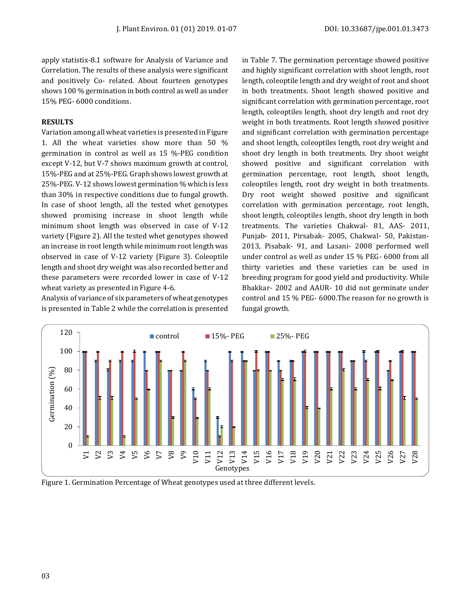apply statistix-8.1 software for Analysis of Variance and Correlation. The results of these analysis were significant and positively Co- related. About fourteen genotypes shows 100 % germination in both control as well as under 15% PEG- 6000 conditions.

# **RESULTS**

Variation among all wheat varieties is presented in Figure 1. All the wheat varieties show more than 50 % germination in control as well as 15 %-PEG condition except V-12, but V-7 shows maximum growth at control, 15%-PEG and at 25%-PEG. Graph shows lowest growth at 25%-PEG. V-12 shows lowest germination % which is less than 30% in respective conditions due to fungal growth. In case of shoot length, all the tested whet genotypes showed promising increase in shoot length while minimum shoot length was observed in case of V-12 variety (Figure 2). All the tested whet genotypes showed an increase in root length while minimum root length was observed in case of V-12 variety (Figure 3). Coleoptile length and shoot dry weight was also recorded better and these parameters were recorded lower in case of V-12 wheat variety as presented in Figure 4-6.

Analysis of variance of six parameters of wheat genotypes is presented in Table 2 while the correlation is presented in Table 7. The germination percentage showed positive and highly significant correlation with shoot length, root length, coleoptile length and dry weight of root and shoot in both treatments. Shoot length showed positive and significant correlation with germination percentage, root length, coleoptiles length, shoot dry length and root dry weight in both treatments. Root length showed positive and significant correlation with germination percentage and shoot length, coleoptiles length, root dry weight and shoot dry length in both treatments. Dry shoot weight showed positive and significant correlation with germination percentage, root length, shoot length, coleoptiles length, root dry weight in both treatments. Dry root weight showed positive and significant correlation with germination percentage, root length, shoot length, coleoptiles length, shoot dry length in both treatments. The varieties Chakwal- 81, AAS- 2011, Punjab- 2011, Pirsabak- 2005, Chakwal- 50, Pakistan-2013, Pisabak- 91, and Lasani- 2008 performed well under control as well as under 15 % PEG- 6000 from all thirty varieties and these varieties can be used in breeding program for good yield and productivity. While Bhakkar- 2002 and AAUR- 10 did not germinate under control and 15 % PEG- 6000.The reason for no growth is fungal growth.



Figure 1. Germination Percentage of Wheat genotypes used at three different levels.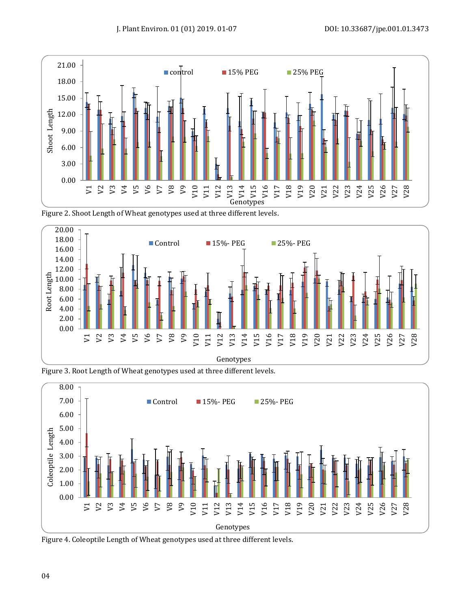

Figure 2. Shoot Length of Wheat genotypes used at three different levels.



Figure 3. Root Length of Wheat genotypes used at three different levels.



Figure 4. Coleoptile Length of Wheat genotypes used at three different levels.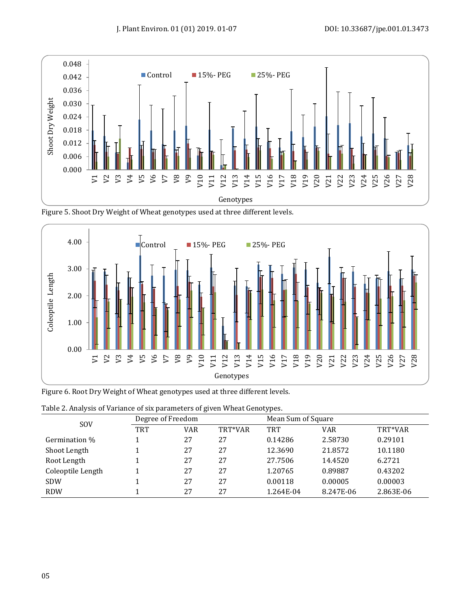





Figure 6. Root Dry Weight of Wheat genotypes used at three different levels.

| $\tilde{\phantom{a}}$ | ້<br>Degree of Freedom |            |         | . .<br>Mean Sum of Square |            |           |
|-----------------------|------------------------|------------|---------|---------------------------|------------|-----------|
| <b>SOV</b>            | <b>TRT</b>             | <b>VAR</b> | TRT*VAR | <b>TRT</b>                | <b>VAR</b> | TRT*VAR   |
| Germination %         |                        | 27         | 27      | 0.14286                   | 2.58730    | 0.29101   |
| Shoot Length          |                        | 27         | 27      | 12.3690                   | 21.8572    | 10.1180   |
| Root Length           |                        | 27         | 27      | 27.7506                   | 14.4520    | 6.2721    |
| Coleoptile Length     |                        | 27         | 27      | 1.20765                   | 0.89887    | 0.43202   |
| <b>SDW</b>            |                        | 27         | 27      | 0.00118                   | 0.00005    | 0.00003   |
| <b>RDW</b>            |                        | 27         | 27      | 1.264E-04                 | 8.247E-06  | 2.863E-06 |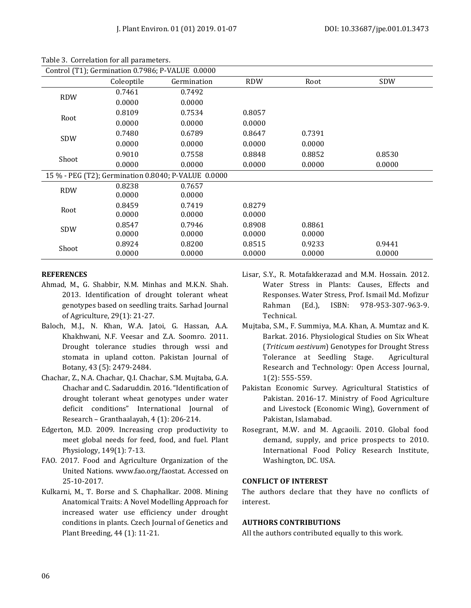| Control (T1); Germination 0.7986; P-VALUE 0.0000 |            |                                                     |            |        |        |  |  |
|--------------------------------------------------|------------|-----------------------------------------------------|------------|--------|--------|--|--|
|                                                  | Coleoptile | Germination                                         | <b>RDW</b> | Root   | SDW    |  |  |
| <b>RDW</b>                                       | 0.7461     | 0.7492                                              |            |        |        |  |  |
|                                                  | 0.0000     | 0.0000                                              |            |        |        |  |  |
| Root                                             | 0.8109     | 0.7534                                              | 0.8057     |        |        |  |  |
|                                                  | 0.0000     | 0.0000                                              | 0.0000     |        |        |  |  |
| SDW                                              | 0.7480     | 0.6789                                              | 0.8647     | 0.7391 |        |  |  |
|                                                  | 0.0000     | 0.0000                                              | 0.0000     | 0.0000 |        |  |  |
| Shoot                                            | 0.9010     | 0.7558                                              | 0.8848     | 0.8852 | 0.8530 |  |  |
|                                                  | 0.0000     | 0.0000                                              | 0.0000     | 0.0000 | 0.0000 |  |  |
|                                                  |            | 15 % - PEG (T2); Germination 0.8040; P-VALUE 0.0000 |            |        |        |  |  |
| <b>RDW</b>                                       | 0.8238     | 0.7657                                              |            |        |        |  |  |
|                                                  | 0.0000     | 0.0000                                              |            |        |        |  |  |
| Root                                             | 0.8459     | 0.7419                                              | 0.8279     |        |        |  |  |
|                                                  | 0.0000     | 0.0000                                              | 0.0000     |        |        |  |  |
| <b>SDW</b>                                       | 0.8547     | 0.7946                                              | 0.8908     | 0.8861 |        |  |  |
|                                                  | 0.0000     | 0.0000                                              | 0.0000     | 0.0000 |        |  |  |
| Shoot                                            | 0.8924     | 0.8200                                              | 0.8515     | 0.9233 | 0.9441 |  |  |
|                                                  | 0.0000     | 0.0000                                              | 0.0000     | 0.0000 | 0.0000 |  |  |

Table 3. Correlation for all parameters.

# **REFERENCES**

- Ahmad, M., G. Shabbir, N.M. Minhas and M.K.N. Shah. 2013. Identification of drought tolerant wheat genotypes based on seedling traits. Sarhad Journal of Agriculture, 29(1): 21-27.
- Baloch, M.J., N. Khan, W.A. Jatoi, G. Hassan, A.A. Khakhwani, N.F. Veesar and Z.A. Soomro. 2011. Drought tolerance studies through wssi and stomata in upland cotton. Pakistan Journal of Botany, 43 (5): 2479-2484.
- Chachar, Z., N.A. Chachar, Q.I. Chachar, S.M. Mujtaba, G.A. Chachar and C. Sadaruddin. 2016. "Identification of drought tolerant wheat genotypes under water deficit conditions" International Journal of Research – Granthaalayah, 4 (1): 206-214.
- Edgerton, M.D. 2009. Increasing crop productivity to meet global needs for feed, food, and fuel. Plant Physiology, 149(1): 7-13.
- FAO. 2017. Food and Agriculture Organization of the United Nations. [www.fao.org/faostat. Accessed on](http://www.fao.org/faostat.%20Accessed%20on%2025-10-2017)  [25-10-2017.](http://www.fao.org/faostat.%20Accessed%20on%2025-10-2017)
- Kulkarni, M., T. Borse and S. Chaphalkar. 2008. Mining Anatomical Traits: A Novel Modelling Approach for increased water use efficiency under drought conditions in plants. Czech Journal of Genetics and Plant Breeding, 44 (1): 11-21.
- Lisar, S.Y., R. Motafakkerazad and M.M. Hossain. 2012. Water Stress in Plants: Causes, Effects and Responses. Water Stress, Prof. Ismail Md. Mofizur Rahman (Ed.), ISBN: 978-953-307-963-9. Technical.
- Mujtaba, S.M., F. Summiya, M.A. Khan, A. Mumtaz and K. Barkat. 2016. Physiological Studies on Six Wheat (*Triticum aestivum*) Genotypes for Drought Stress Tolerance at Seedling Stage. Agricultural Research and Technology: Open Access Journal, 1(2): 555-559.
- Pakistan Economic Survey. Agricultural Statistics of Pakistan. 2016-17. Ministry of Food Agriculture and Livestock (Economic Wing), Government of Pakistan, Islamabad.
- Rosegrant, M.W. and M. Agcaoili. 2010. Global food demand, supply, and price prospects to 2010. International Food Policy Research Institute, Washington, DC. USA.

# **CONFLICT OF INTEREST**

The authors declare that they have no conflicts of interest.

# **AUTHORS CONTRIBUTIONS**

All the authors contributed equally to this work.